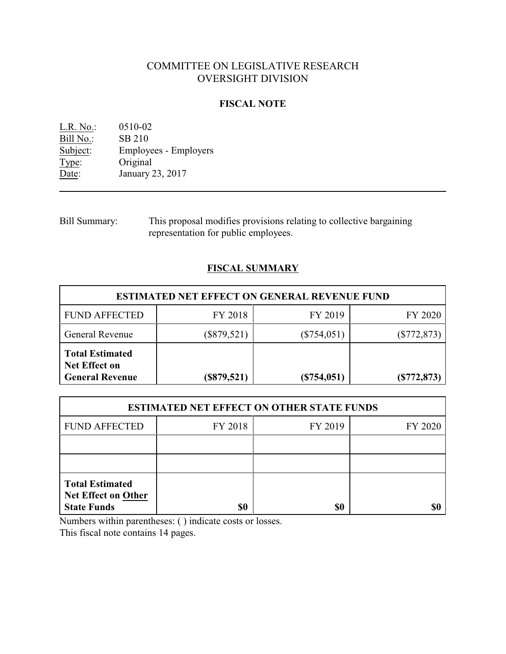# COMMITTEE ON LEGISLATIVE RESEARCH OVERSIGHT DIVISION

## **FISCAL NOTE**

L.R. No.: 0510-02 Bill No.: SB 210<br>Subject: Employe Employees - Employers Type: Original<br>Date: January January 23, 2017

Bill Summary: This proposal modifies provisions relating to collective bargaining representation for public employees.

## **FISCAL SUMMARY**

| <b>ESTIMATED NET EFFECT ON GENERAL REVENUE FUND</b>                      |               |               |               |  |  |  |
|--------------------------------------------------------------------------|---------------|---------------|---------------|--|--|--|
| <b>FUND AFFECTED</b>                                                     | FY 2018       | FY 2019       | FY 2020       |  |  |  |
| General Revenue                                                          | $(\$879,521)$ | $(\$754,051)$ | $(\$772,873)$ |  |  |  |
| <b>Total Estimated</b><br><b>Net Effect on</b><br><b>General Revenue</b> | $(\$879,521)$ | $(\$754,051)$ | (\$772,873)   |  |  |  |

| <b>ESTIMATED NET EFFECT ON OTHER STATE FUNDS</b>                           |         |         |         |  |  |  |
|----------------------------------------------------------------------------|---------|---------|---------|--|--|--|
| <b>FUND AFFECTED</b>                                                       | FY 2018 | FY 2019 | FY 2020 |  |  |  |
|                                                                            |         |         |         |  |  |  |
|                                                                            |         |         |         |  |  |  |
| <b>Total Estimated</b><br><b>Net Effect on Other</b><br><b>State Funds</b> |         | \$0     |         |  |  |  |

Numbers within parentheses: ( ) indicate costs or losses.

This fiscal note contains 14 pages.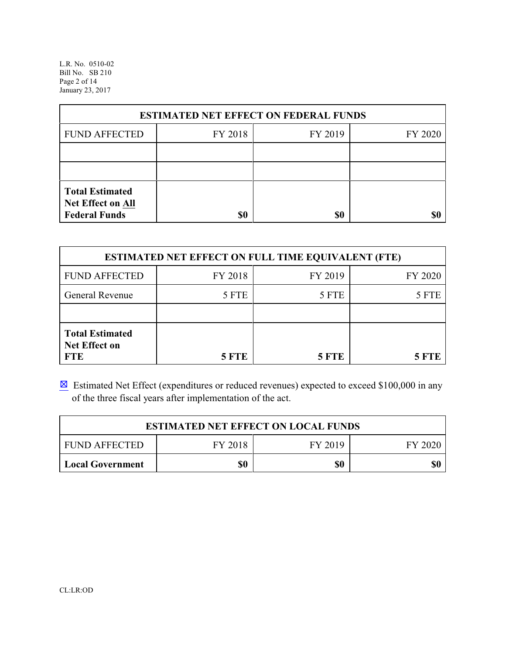L.R. No. 0510-02 Bill No. SB 210 Page 2 of 14 January 23, 2017

| <b>ESTIMATED NET EFFECT ON FEDERAL FUNDS</b>                        |         |         |         |  |  |  |
|---------------------------------------------------------------------|---------|---------|---------|--|--|--|
| <b>FUND AFFECTED</b>                                                | FY 2018 | FY 2019 | FY 2020 |  |  |  |
|                                                                     |         |         |         |  |  |  |
|                                                                     |         |         |         |  |  |  |
| <b>Total Estimated</b><br>Net Effect on All<br><b>Federal Funds</b> | \$0     | \$0     |         |  |  |  |

| <b>ESTIMATED NET EFFECT ON FULL TIME EQUIVALENT (FTE)</b>    |              |              |         |  |  |  |
|--------------------------------------------------------------|--------------|--------------|---------|--|--|--|
| <b>FUND AFFECTED</b>                                         | FY 2018      | FY 2019      | FY 2020 |  |  |  |
| General Revenue                                              | 5 FTE        | 5 FTE        | 5 FTE   |  |  |  |
|                                                              |              |              |         |  |  |  |
| <b>Total Estimated</b><br><b>Net Effect on</b><br><b>FTE</b> | <b>5 FTE</b> | <b>5 FTE</b> | 5 FTE   |  |  |  |

 $\boxtimes$  Estimated Net Effect (expenditures or reduced revenues) expected to exceed \$100,000 in any of the three fiscal years after implementation of the act.

| <b>ESTIMATED NET EFFECT ON LOCAL FUNDS</b> |         |         |         |  |  |
|--------------------------------------------|---------|---------|---------|--|--|
| <b>FUND AFFECTED</b>                       | FY 2018 | FY 2019 | FY 2020 |  |  |
| <b>Local Government</b>                    | \$0     | \$0     | \$0     |  |  |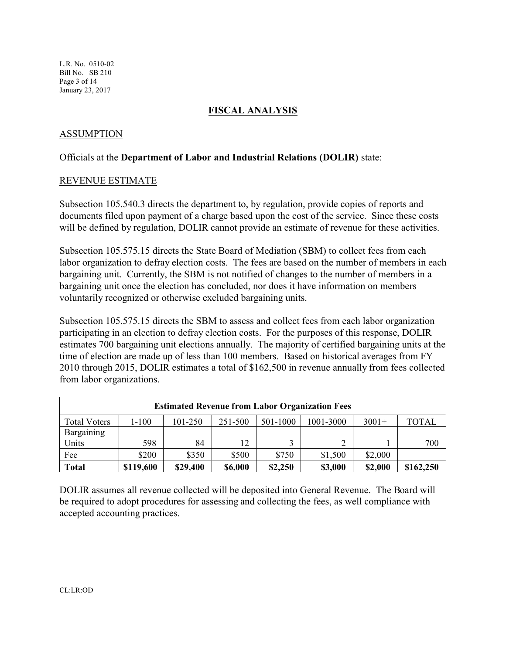L.R. No. 0510-02 Bill No. SB 210 Page 3 of 14 January 23, 2017

## **FISCAL ANALYSIS**

## ASSUMPTION

### Officials at the **Department of Labor and Industrial Relations (DOLIR)** state:

#### REVENUE ESTIMATE

Subsection 105.540.3 directs the department to, by regulation, provide copies of reports and documents filed upon payment of a charge based upon the cost of the service. Since these costs will be defined by regulation, DOLIR cannot provide an estimate of revenue for these activities.

Subsection 105.575.15 directs the State Board of Mediation (SBM) to collect fees from each labor organization to defray election costs. The fees are based on the number of members in each bargaining unit. Currently, the SBM is not notified of changes to the number of members in a bargaining unit once the election has concluded, nor does it have information on members voluntarily recognized or otherwise excluded bargaining units.

Subsection 105.575.15 directs the SBM to assess and collect fees from each labor organization participating in an election to defray election costs. For the purposes of this response, DOLIR estimates 700 bargaining unit elections annually. The majority of certified bargaining units at the time of election are made up of less than 100 members. Based on historical averages from FY 2010 through 2015, DOLIR estimates a total of \$162,500 in revenue annually from fees collected from labor organizations.

| <b>Estimated Revenue from Labor Organization Fees</b> |           |          |         |          |           |         |           |
|-------------------------------------------------------|-----------|----------|---------|----------|-----------|---------|-----------|
| <b>Total Voters</b>                                   | 1-100     | 101-250  | 251-500 | 501-1000 | 1001-3000 | $3001+$ | TOTAL     |
| Bargaining                                            |           |          |         |          |           |         |           |
| Units                                                 | 598       | 84       | 12      |          |           |         | 700       |
| Fee                                                   | \$200     | \$350    | \$500   | \$750    | \$1,500   | \$2,000 |           |
| <b>Total</b>                                          | \$119,600 | \$29,400 | \$6,000 | \$2,250  | \$3,000   | \$2,000 | \$162,250 |

DOLIR assumes all revenue collected will be deposited into General Revenue. The Board will be required to adopt procedures for assessing and collecting the fees, as well compliance with accepted accounting practices.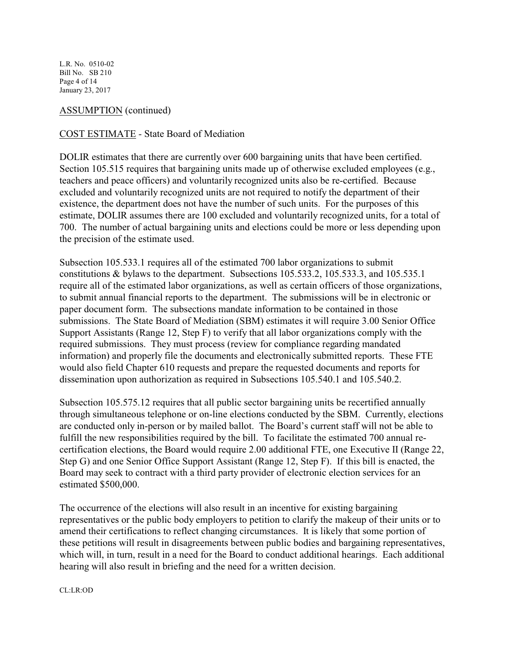L.R. No. 0510-02 Bill No. SB 210 Page 4 of 14 January 23, 2017

## ASSUMPTION (continued)

## COST ESTIMATE *-* State Board of Mediation

DOLIR estimates that there are currently over 600 bargaining units that have been certified. Section 105.515 requires that bargaining units made up of otherwise excluded employees (e.g., teachers and peace officers) and voluntarily recognized units also be re-certified. Because excluded and voluntarily recognized units are not required to notify the department of their existence, the department does not have the number of such units. For the purposes of this estimate, DOLIR assumes there are 100 excluded and voluntarily recognized units, for a total of 700. The number of actual bargaining units and elections could be more or less depending upon the precision of the estimate used.

Subsection 105.533.1 requires all of the estimated 700 labor organizations to submit constitutions & bylaws to the department. Subsections 105.533.2, 105.533.3, and 105.535.1 require all of the estimated labor organizations, as well as certain officers of those organizations, to submit annual financial reports to the department. The submissions will be in electronic or paper document form. The subsections mandate information to be contained in those submissions. The State Board of Mediation (SBM) estimates it will require 3.00 Senior Office Support Assistants (Range 12, Step F) to verify that all labor organizations comply with the required submissions. They must process (review for compliance regarding mandated information) and properly file the documents and electronically submitted reports. These FTE would also field Chapter 610 requests and prepare the requested documents and reports for dissemination upon authorization as required in Subsections 105.540.1 and 105.540.2.

Subsection 105.575.12 requires that all public sector bargaining units be recertified annually through simultaneous telephone or on-line elections conducted by the SBM. Currently, elections are conducted only in-person or by mailed ballot. The Board's current staff will not be able to fulfill the new responsibilities required by the bill. To facilitate the estimated 700 annual recertification elections, the Board would require 2.00 additional FTE, one Executive II (Range 22, Step G) and one Senior Office Support Assistant (Range 12, Step F). If this bill is enacted, the Board may seek to contract with a third party provider of electronic election services for an estimated \$500,000.

The occurrence of the elections will also result in an incentive for existing bargaining representatives or the public body employers to petition to clarify the makeup of their units or to amend their certifications to reflect changing circumstances. It is likely that some portion of these petitions will result in disagreements between public bodies and bargaining representatives, which will, in turn, result in a need for the Board to conduct additional hearings. Each additional hearing will also result in briefing and the need for a written decision.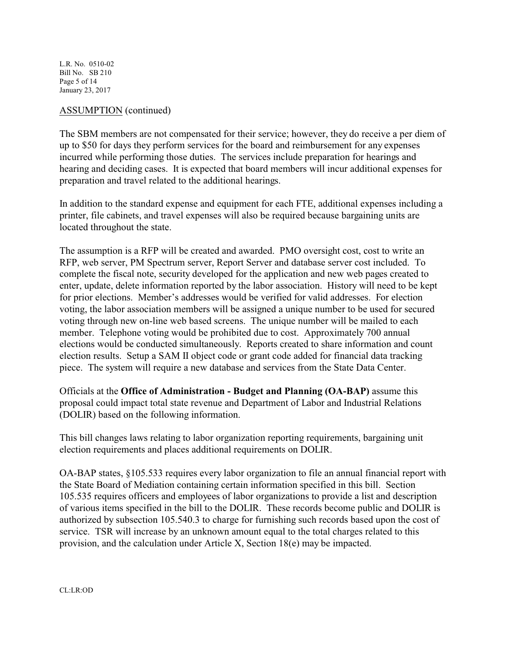L.R. No. 0510-02 Bill No. SB 210 Page 5 of 14 January 23, 2017

## ASSUMPTION (continued)

The SBM members are not compensated for their service; however, they do receive a per diem of up to \$50 for days they perform services for the board and reimbursement for any expenses incurred while performing those duties. The services include preparation for hearings and hearing and deciding cases. It is expected that board members will incur additional expenses for preparation and travel related to the additional hearings.

In addition to the standard expense and equipment for each FTE, additional expenses including a printer, file cabinets, and travel expenses will also be required because bargaining units are located throughout the state.

The assumption is a RFP will be created and awarded. PMO oversight cost, cost to write an RFP, web server, PM Spectrum server, Report Server and database server cost included. To complete the fiscal note, security developed for the application and new web pages created to enter, update, delete information reported by the labor association. History will need to be kept for prior elections. Member's addresses would be verified for valid addresses. For election voting, the labor association members will be assigned a unique number to be used for secured voting through new on-line web based screens. The unique number will be mailed to each member. Telephone voting would be prohibited due to cost. Approximately 700 annual elections would be conducted simultaneously. Reports created to share information and count election results. Setup a SAM II object code or grant code added for financial data tracking piece. The system will require a new database and services from the State Data Center.

Officials at the **Office of Administration - Budget and Planning (OA-BAP)** assume this proposal could impact total state revenue and Department of Labor and Industrial Relations (DOLIR) based on the following information.

This bill changes laws relating to labor organization reporting requirements, bargaining unit election requirements and places additional requirements on DOLIR.

OA-BAP states, §105.533 requires every labor organization to file an annual financial report with the State Board of Mediation containing certain information specified in this bill. Section 105.535 requires officers and employees of labor organizations to provide a list and description of various items specified in the bill to the DOLIR. These records become public and DOLIR is authorized by subsection 105.540.3 to charge for furnishing such records based upon the cost of service. TSR will increase by an unknown amount equal to the total charges related to this provision, and the calculation under Article X, Section 18(e) may be impacted.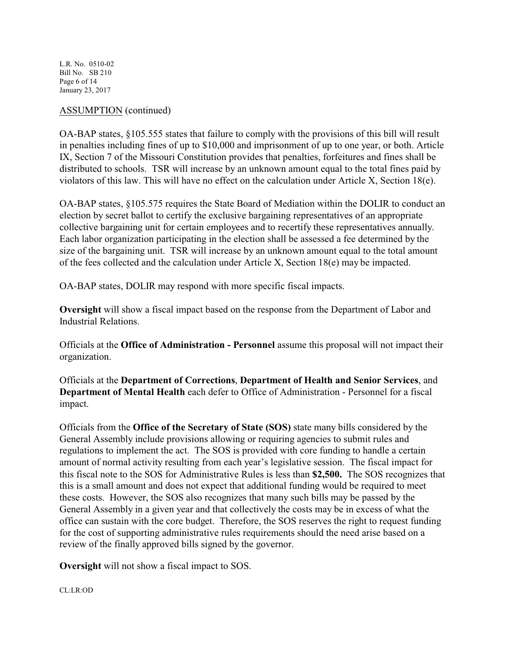L.R. No. 0510-02 Bill No. SB 210 Page 6 of 14 January 23, 2017

## ASSUMPTION (continued)

OA-BAP states, §105.555 states that failure to comply with the provisions of this bill will result in penalties including fines of up to \$10,000 and imprisonment of up to one year, or both. Article IX, Section 7 of the Missouri Constitution provides that penalties, forfeitures and fines shall be distributed to schools. TSR will increase by an unknown amount equal to the total fines paid by violators of this law. This will have no effect on the calculation under Article X, Section 18(e).

OA-BAP states, §105.575 requires the State Board of Mediation within the DOLIR to conduct an election by secret ballot to certify the exclusive bargaining representatives of an appropriate collective bargaining unit for certain employees and to recertify these representatives annually. Each labor organization participating in the election shall be assessed a fee determined by the size of the bargaining unit. TSR will increase by an unknown amount equal to the total amount of the fees collected and the calculation under Article X, Section 18(e) may be impacted.

OA-BAP states, DOLIR may respond with more specific fiscal impacts.

**Oversight** will show a fiscal impact based on the response from the Department of Labor and Industrial Relations.

Officials at the **Office of Administration - Personnel** assume this proposal will not impact their organization.

Officials at the **Department of Corrections**, **Department of Health and Senior Services**, and **Department of Mental Health** each defer to Office of Administration - Personnel for a fiscal impact.

Officials from the **Office of the Secretary of State (SOS)** state many bills considered by the General Assembly include provisions allowing or requiring agencies to submit rules and regulations to implement the act. The SOS is provided with core funding to handle a certain amount of normal activity resulting from each year's legislative session. The fiscal impact for this fiscal note to the SOS for Administrative Rules is less than **\$2,500.** The SOS recognizes that this is a small amount and does not expect that additional funding would be required to meet these costs. However, the SOS also recognizes that many such bills may be passed by the General Assembly in a given year and that collectively the costs may be in excess of what the office can sustain with the core budget. Therefore, the SOS reserves the right to request funding for the cost of supporting administrative rules requirements should the need arise based on a review of the finally approved bills signed by the governor.

**Oversight** will not show a fiscal impact to SOS.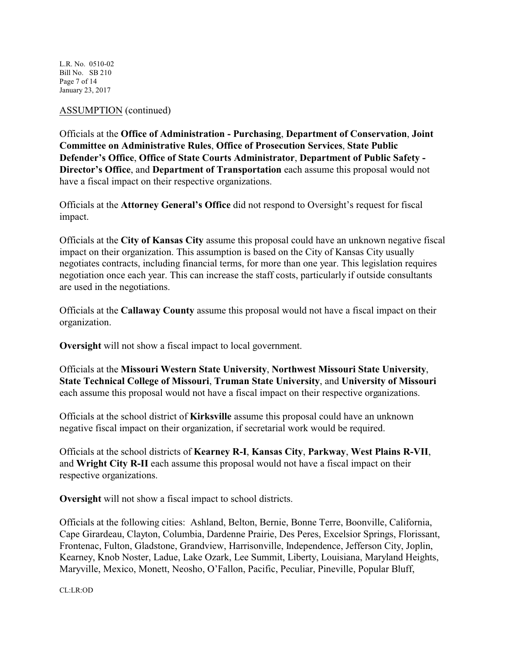L.R. No. 0510-02 Bill No. SB 210 Page 7 of 14 January 23, 2017

## ASSUMPTION (continued)

Officials at the **Office of Administration - Purchasing**, **Department of Conservation**, **Joint Committee on Administrative Rules**, **Office of Prosecution Services**, **State Public Defender's Office**, **Office of State Courts Administrator**, **Department of Public Safety - Director's Office**, and **Department of Transportation** each assume this proposal would not have a fiscal impact on their respective organizations.

Officials at the **Attorney General's Office** did not respond to Oversight's request for fiscal impact.

Officials at the **City of Kansas City** assume this proposal could have an unknown negative fiscal impact on their organization. This assumption is based on the City of Kansas City usually negotiates contracts, including financial terms, for more than one year. This legislation requires negotiation once each year. This can increase the staff costs, particularly if outside consultants are used in the negotiations.

Officials at the **Callaway County** assume this proposal would not have a fiscal impact on their organization.

**Oversight** will not show a fiscal impact to local government.

Officials at the **Missouri Western State University**, **Northwest Missouri State University**, **State Technical College of Missouri**, **Truman State University**, and **University of Missouri** each assume this proposal would not have a fiscal impact on their respective organizations.

Officials at the school district of **Kirksville** assume this proposal could have an unknown negative fiscal impact on their organization, if secretarial work would be required.

Officials at the school districts of **Kearney R-I**, **Kansas City**, **Parkway**, **West Plains R-VII**, and **Wright City R-II** each assume this proposal would not have a fiscal impact on their respective organizations.

**Oversight** will not show a fiscal impact to school districts.

Officials at the following cities: Ashland, Belton, Bernie, Bonne Terre, Boonville, California, Cape Girardeau, Clayton, Columbia, Dardenne Prairie, Des Peres, Excelsior Springs, Florissant, Frontenac, Fulton, Gladstone, Grandview, Harrisonville, Independence, Jefferson City, Joplin, Kearney, Knob Noster, Ladue, Lake Ozark, Lee Summit, Liberty, Louisiana, Maryland Heights, Maryville, Mexico, Monett, Neosho, O'Fallon, Pacific, Peculiar, Pineville, Popular Bluff,

CL:LR:OD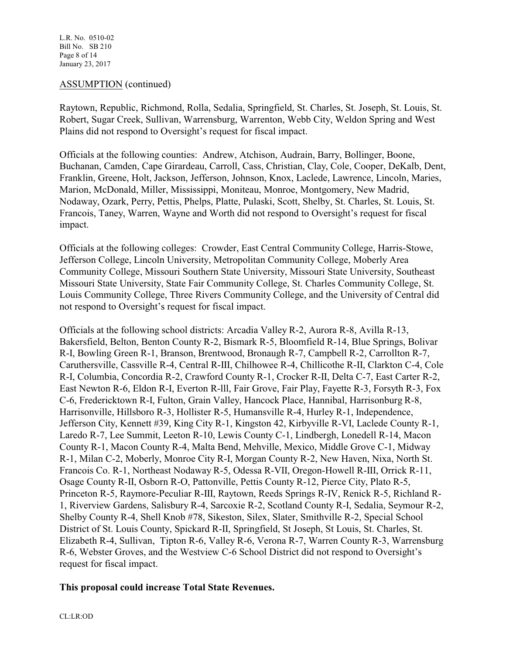### ASSUMPTION (continued)

Raytown, Republic, Richmond, Rolla, Sedalia, Springfield, St. Charles, St. Joseph, St. Louis, St. Robert, Sugar Creek, Sullivan, Warrensburg, Warrenton, Webb City, Weldon Spring and West Plains did not respond to Oversight's request for fiscal impact.

Officials at the following counties: Andrew, Atchison, Audrain, Barry, Bollinger, Boone, Buchanan, Camden, Cape Girardeau, Carroll, Cass, Christian, Clay, Cole, Cooper, DeKalb, Dent, Franklin, Greene, Holt, Jackson, Jefferson, Johnson, Knox, Laclede, Lawrence, Lincoln, Maries, Marion, McDonald, Miller, Mississippi, Moniteau, Monroe, Montgomery, New Madrid, Nodaway, Ozark, Perry, Pettis, Phelps, Platte, Pulaski, Scott, Shelby, St. Charles, St. Louis, St. Francois, Taney, Warren, Wayne and Worth did not respond to Oversight's request for fiscal impact.

Officials at the following colleges: Crowder, East Central Community College, Harris-Stowe, Jefferson College, Lincoln University, Metropolitan Community College, Moberly Area Community College, Missouri Southern State University, Missouri State University, Southeast Missouri State University, State Fair Community College, St. Charles Community College, St. Louis Community College, Three Rivers Community College, and the University of Central did not respond to Oversight's request for fiscal impact.

Officials at the following school districts: Arcadia Valley R-2, Aurora R-8, Avilla R-13, Bakersfield, Belton, Benton County R-2, Bismark R-5, Bloomfield R-14, Blue Springs, Bolivar R-I, Bowling Green R-1, Branson, Brentwood, Bronaugh R-7, Campbell R-2, Carrollton R-7, Caruthersville, Cassville R-4, Central R-III, Chilhowee R-4, Chillicothe R-II, Clarkton C-4, Cole R-I, Columbia, Concordia R-2, Crawford County R-1, Crocker R-II, Delta C-7, East Carter R-2, East Newton R-6, Eldon R-I, Everton R-lll, Fair Grove, Fair Play, Fayette R-3, Forsyth R-3, Fox C-6, Fredericktown R-I, Fulton, Grain Valley, Hancock Place, Hannibal, Harrisonburg R-8, Harrisonville, Hillsboro R-3, Hollister R-5, Humansville R-4, Hurley R-1, Independence, Jefferson City, Kennett #39, King City R-1, Kingston 42, Kirbyville R-VI, Laclede County R-1, Laredo R-7, Lee Summit, Leeton R-10, Lewis County C-1, Lindbergh, Lonedell R-14, Macon County R-1, Macon County R-4, Malta Bend, Mehville, Mexico, Middle Grove C-1, Midway R-1, Milan C-2, Moberly, Monroe City R-I, Morgan County R-2, New Haven, Nixa, North St. Francois Co. R-1, Northeast Nodaway R-5, Odessa R-VII, Oregon-Howell R-III, Orrick R-11, Osage County R-II, Osborn R-O, Pattonville, Pettis County R-12, Pierce City, Plato R-5, Princeton R-5, Raymore-Peculiar R-III, Raytown, Reeds Springs R-IV, Renick R-5, Richland R-1, Riverview Gardens, Salisbury R-4, Sarcoxie R-2, Scotland County R-I, Sedalia, Seymour R-2, Shelby County R-4, Shell Knob #78, Sikeston, Silex, Slater, Smithville R-2, Special School District of St. Louis County, Spickard R-II, Springfield, St Joseph, St Louis, St. Charles, St. Elizabeth R-4, Sullivan, Tipton R-6, Valley R-6, Verona R-7, Warren County R-3, Warrensburg R-6, Webster Groves, and the Westview C-6 School District did not respond to Oversight's request for fiscal impact.

## **This proposal could increase Total State Revenues.**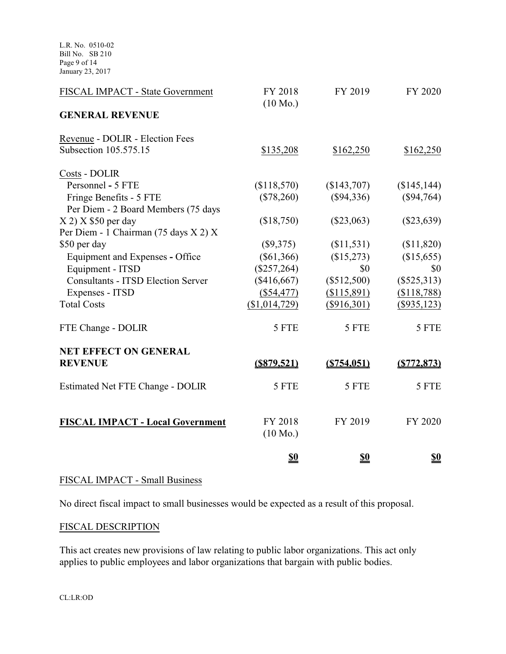L.R. No. 0510-02 Bill No. SB 210 Page 9 of 14 January 23, 2017

| FISCAL IMPACT - State Government          | FY 2018<br>$(10 \text{ Mo.})$ | FY 2019       | FY 2020       |
|-------------------------------------------|-------------------------------|---------------|---------------|
| <b>GENERAL REVENUE</b>                    |                               |               |               |
| Revenue - DOLIR - Election Fees           |                               |               |               |
| Subsection 105.575.15                     | \$135,208                     | \$162,250     | \$162,250     |
| Costs - DOLIR                             |                               |               |               |
| Personnel - 5 FTE                         | (\$118,570)                   | (\$143,707)   | (\$145, 144)  |
| Fringe Benefits - 5 FTE                   | $(\$78,260)$                  | $(\$94,336)$  | $(\$94,764)$  |
| Per Diem - 2 Board Members (75 days       |                               |               |               |
| X 2) X \$50 per day                       | (\$18,750)                    | $(\$23,063)$  | $(\$23,639)$  |
| Per Diem - 1 Chairman (75 days X 2) X     |                               |               |               |
| \$50 per day                              | $(\$9,375)$                   | (\$11,531)    | (\$11,820)    |
| Equipment and Expenses - Office           | $(\$61,366)$                  | (\$15,273)    | (\$15,655)    |
| Equipment - ITSD                          | $(\$257,264)$                 | \$0           | \$0           |
| <b>Consultants - ITSD Election Server</b> | (\$416,667)                   | $(\$512,500)$ | $(\$525,313)$ |
| Expenses - ITSD                           | $(\$54,477)$                  | \$115,891)    | (\$118,788)   |
| <b>Total Costs</b>                        | (\$1,014,729)                 | $(\$916,301)$ | $(\$935,123)$ |
| FTE Change - DOLIR                        | 5 FTE                         | 5 FTE         | 5 FTE         |
| <b>NET EFFECT ON GENERAL</b>              |                               |               |               |
| <b>REVENUE</b>                            | (S879, 521)                   | (S754, 051)   | (S772, 873)   |
| Estimated Net FTE Change - DOLIR          | 5 FTE                         | 5 FTE         | 5 FTE         |
|                                           |                               |               |               |
| <b>FISCAL IMPACT - Local Government</b>   | FY 2018<br>$(10 \text{ Mo.})$ | FY 2019       | FY 2020       |
|                                           | \$0                           | \$0           | \$0           |

## FISCAL IMPACT - Small Business

No direct fiscal impact to small businesses would be expected as a result of this proposal.

### FISCAL DESCRIPTION

This act creates new provisions of law relating to public labor organizations. This act only applies to public employees and labor organizations that bargain with public bodies.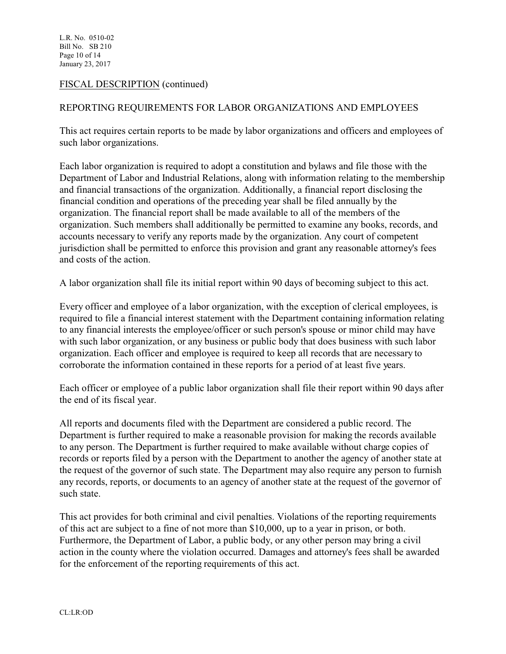## FISCAL DESCRIPTION (continued)

## REPORTING REQUIREMENTS FOR LABOR ORGANIZATIONS AND EMPLOYEES

This act requires certain reports to be made by labor organizations and officers and employees of such labor organizations.

Each labor organization is required to adopt a constitution and bylaws and file those with the Department of Labor and Industrial Relations, along with information relating to the membership and financial transactions of the organization. Additionally, a financial report disclosing the financial condition and operations of the preceding year shall be filed annually by the organization. The financial report shall be made available to all of the members of the organization. Such members shall additionally be permitted to examine any books, records, and accounts necessary to verify any reports made by the organization. Any court of competent jurisdiction shall be permitted to enforce this provision and grant any reasonable attorney's fees and costs of the action.

A labor organization shall file its initial report within 90 days of becoming subject to this act.

Every officer and employee of a labor organization, with the exception of clerical employees, is required to file a financial interest statement with the Department containing information relating to any financial interests the employee/officer or such person's spouse or minor child may have with such labor organization, or any business or public body that does business with such labor organization. Each officer and employee is required to keep all records that are necessary to corroborate the information contained in these reports for a period of at least five years.

Each officer or employee of a public labor organization shall file their report within 90 days after the end of its fiscal year.

All reports and documents filed with the Department are considered a public record. The Department is further required to make a reasonable provision for making the records available to any person. The Department is further required to make available without charge copies of records or reports filed by a person with the Department to another the agency of another state at the request of the governor of such state. The Department may also require any person to furnish any records, reports, or documents to an agency of another state at the request of the governor of such state.

This act provides for both criminal and civil penalties. Violations of the reporting requirements of this act are subject to a fine of not more than \$10,000, up to a year in prison, or both. Furthermore, the Department of Labor, a public body, or any other person may bring a civil action in the county where the violation occurred. Damages and attorney's fees shall be awarded for the enforcement of the reporting requirements of this act.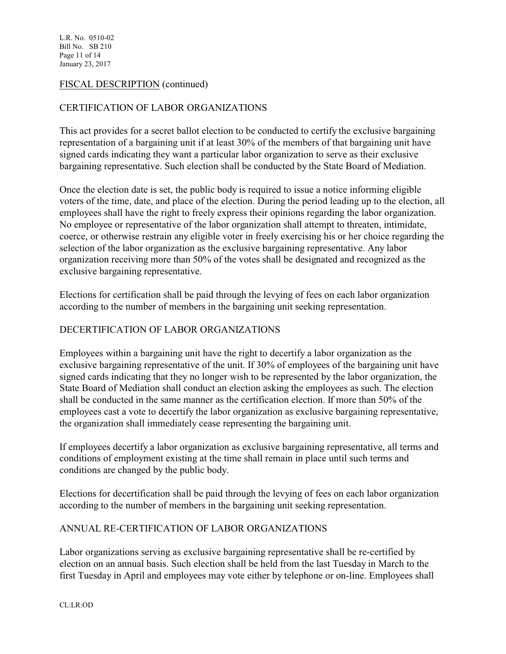L.R. No. 0510-02 Bill No. SB 210 Page 11 of 14 January 23, 2017

## FISCAL DESCRIPTION (continued)

## CERTIFICATION OF LABOR ORGANIZATIONS

This act provides for a secret ballot election to be conducted to certify the exclusive bargaining representation of a bargaining unit if at least 30% of the members of that bargaining unit have signed cards indicating they want a particular labor organization to serve as their exclusive bargaining representative. Such election shall be conducted by the State Board of Mediation.

Once the election date is set, the public body is required to issue a notice informing eligible voters of the time, date, and place of the election. During the period leading up to the election, all employees shall have the right to freely express their opinions regarding the labor organization. No employee or representative of the labor organization shall attempt to threaten, intimidate, coerce, or otherwise restrain any eligible voter in freely exercising his or her choice regarding the selection of the labor organization as the exclusive bargaining representative. Any labor organization receiving more than 50% of the votes shall be designated and recognized as the exclusive bargaining representative.

Elections for certification shall be paid through the levying of fees on each labor organization according to the number of members in the bargaining unit seeking representation.

## DECERTIFICATION OF LABOR ORGANIZATIONS

Employees within a bargaining unit have the right to decertify a labor organization as the exclusive bargaining representative of the unit. If 30% of employees of the bargaining unit have signed cards indicating that they no longer wish to be represented by the labor organization, the State Board of Mediation shall conduct an election asking the employees as such. The election shall be conducted in the same manner as the certification election. If more than 50% of the employees cast a vote to decertify the labor organization as exclusive bargaining representative, the organization shall immediately cease representing the bargaining unit.

If employees decertify a labor organization as exclusive bargaining representative, all terms and conditions of employment existing at the time shall remain in place until such terms and conditions are changed by the public body.

Elections for decertification shall be paid through the levying of fees on each labor organization according to the number of members in the bargaining unit seeking representation.

## ANNUAL RE-CERTIFICATION OF LABOR ORGANIZATIONS

Labor organizations serving as exclusive bargaining representative shall be re-certified by election on an annual basis. Such election shall be held from the last Tuesday in March to the first Tuesday in April and employees may vote either by telephone or on-line. Employees shall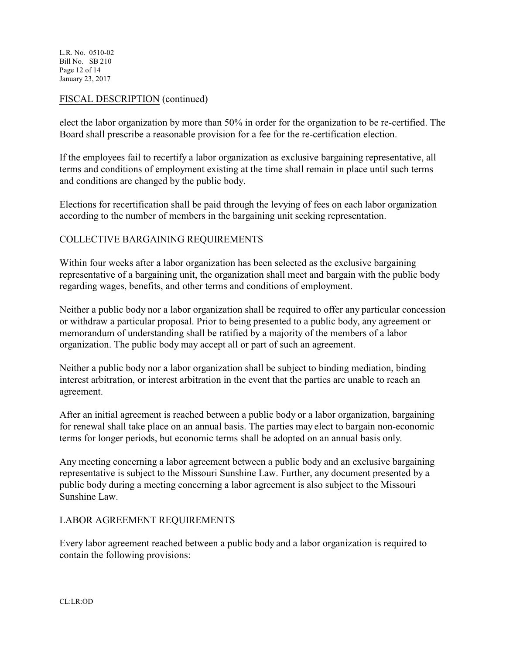L.R. No. 0510-02 Bill No. SB 210 Page 12 of 14 January 23, 2017

## FISCAL DESCRIPTION (continued)

elect the labor organization by more than 50% in order for the organization to be re-certified. The Board shall prescribe a reasonable provision for a fee for the re-certification election.

If the employees fail to recertify a labor organization as exclusive bargaining representative, all terms and conditions of employment existing at the time shall remain in place until such terms and conditions are changed by the public body.

Elections for recertification shall be paid through the levying of fees on each labor organization according to the number of members in the bargaining unit seeking representation.

## COLLECTIVE BARGAINING REQUIREMENTS

Within four weeks after a labor organization has been selected as the exclusive bargaining representative of a bargaining unit, the organization shall meet and bargain with the public body regarding wages, benefits, and other terms and conditions of employment.

Neither a public body nor a labor organization shall be required to offer any particular concession or withdraw a particular proposal. Prior to being presented to a public body, any agreement or memorandum of understanding shall be ratified by a majority of the members of a labor organization. The public body may accept all or part of such an agreement.

Neither a public body nor a labor organization shall be subject to binding mediation, binding interest arbitration, or interest arbitration in the event that the parties are unable to reach an agreement.

After an initial agreement is reached between a public body or a labor organization, bargaining for renewal shall take place on an annual basis. The parties may elect to bargain non-economic terms for longer periods, but economic terms shall be adopted on an annual basis only.

Any meeting concerning a labor agreement between a public body and an exclusive bargaining representative is subject to the Missouri Sunshine Law. Further, any document presented by a public body during a meeting concerning a labor agreement is also subject to the Missouri Sunshine Law.

## LABOR AGREEMENT REQUIREMENTS

Every labor agreement reached between a public body and a labor organization is required to contain the following provisions: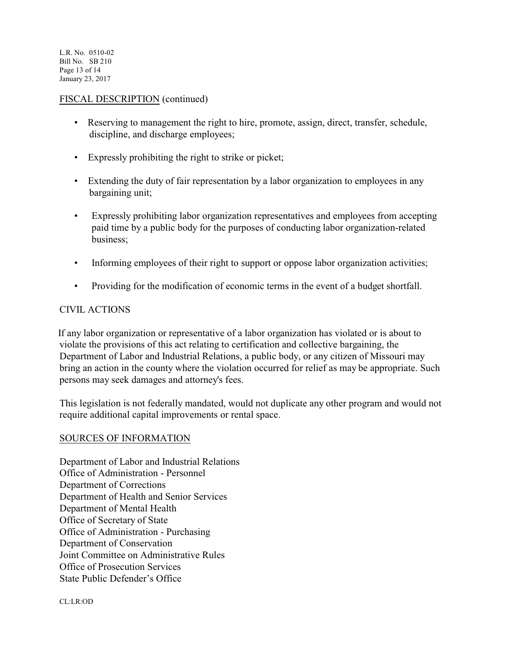L.R. No. 0510-02 Bill No. SB 210 Page 13 of 14 January 23, 2017

### FISCAL DESCRIPTION (continued)

- Reserving to management the right to hire, promote, assign, direct, transfer, schedule, discipline, and discharge employees;
- Expressly prohibiting the right to strike or picket;
- Extending the duty of fair representation by a labor organization to employees in any bargaining unit;
- Expressly prohibiting labor organization representatives and employees from accepting paid time by a public body for the purposes of conducting labor organization-related business;
- Informing employees of their right to support or oppose labor organization activities;
- Providing for the modification of economic terms in the event of a budget shortfall.

## CIVIL ACTIONS

 If any labor organization or representative of a labor organization has violated or is about to violate the provisions of this act relating to certification and collective bargaining, the Department of Labor and Industrial Relations, a public body, or any citizen of Missouri may bring an action in the county where the violation occurred for relief as may be appropriate. Such persons may seek damages and attorney's fees.

This legislation is not federally mandated, would not duplicate any other program and would not require additional capital improvements or rental space.

## SOURCES OF INFORMATION

Department of Labor and Industrial Relations Office of Administration - Personnel Department of Corrections Department of Health and Senior Services Department of Mental Health Office of Secretary of State Office of Administration - Purchasing Department of Conservation Joint Committee on Administrative Rules Office of Prosecution Services State Public Defender's Office